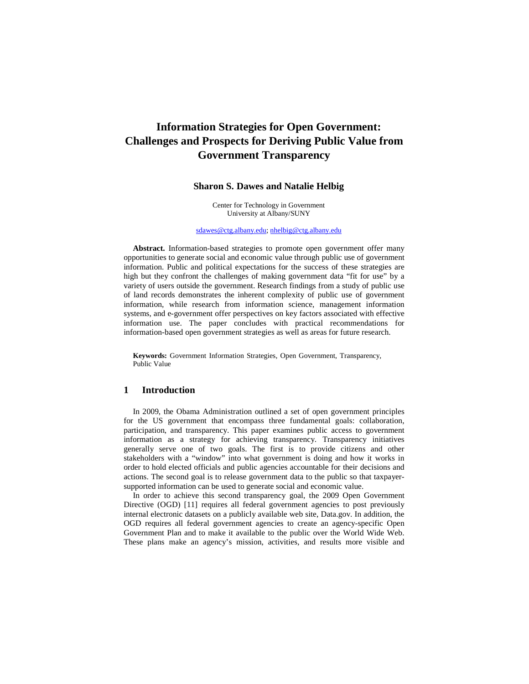# **Information Strategies for Open Government: Challenges and Prospects for Deriving Public Value from Government Transparency**

## **Sharon S. Dawes and Natalie Helbig**

Center for Technology in Government University at Albany/SUNY

sdawes@ctg.albany.edu; nhelbig@ctg.albany.edu

**Abstract.** Information-based strategies to promote open government offer many opportunities to generate social and economic value through public use of government information. Public and political expectations for the success of these strategies are high but they confront the challenges of making government data "fit for use" by a variety of users outside the government. Research findings from a study of public use of land records demonstrates the inherent complexity of public use of government information, while research from information science, management information systems, and e-government offer perspectives on key factors associated with effective information use. The paper concludes with practical recommendations for information-based open government strategies as well as areas for future research.

**Keywords:** Government Information Strategies, Open Government, Transparency, Public Value

## **1 Introduction**

In 2009, the Obama Administration outlined a set of open government principles for the US government that encompass three fundamental goals: collaboration, participation, and transparency. This paper examines public access to government information as a strategy for achieving transparency. Transparency initiatives generally serve one of two goals. The first is to provide citizens and other stakeholders with a "window" into what government is doing and how it works in order to hold elected officials and public agencies accountable for their decisions and actions. The second goal is to release government data to the public so that taxpayersupported information can be used to generate social and economic value.

In order to achieve this second transparency goal, the 2009 Open Government Directive (OGD) [11] requires all federal government agencies to post previously internal electronic datasets on a publicly available web site, Data.gov. In addition, the OGD requires all federal government agencies to create an agency-specific Open Government Plan and to make it available to the public over the World Wide Web. These plans make an agency's mission, activities, and results more visible and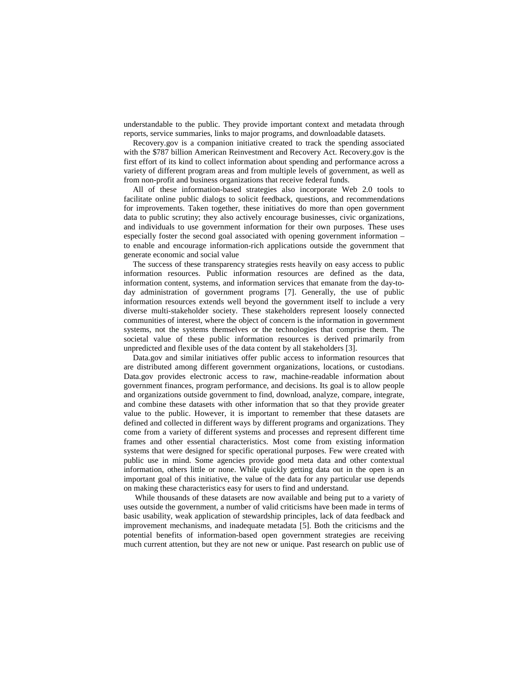understandable to the public. They provide important context and metadata through reports, service summaries, links to major programs, and downloadable datasets.

Recovery.gov is a companion initiative created to track the spending associated with the \$787 billion American Reinvestment and Recovery Act. Recovery.gov is the first effort of its kind to collect information about spending and performance across a variety of different program areas and from multiple levels of government, as well as from non-profit and business organizations that receive federal funds.

All of these information-based strategies also incorporate Web 2.0 tools to facilitate online public dialogs to solicit feedback, questions, and recommendations for improvements. Taken together, these initiatives do more than open government data to public scrutiny; they also actively encourage businesses, civic organizations, and individuals to use government information for their own purposes. These uses especially foster the second goal associated with opening government information – to enable and encourage information-rich applications outside the government that generate economic and social value

The success of these transparency strategies rests heavily on easy access to public information resources. Public information resources are defined as the data, information content, systems, and information services that emanate from the day-today administration of government programs [7]. Generally, the use of public information resources extends well beyond the government itself to include a very diverse multi-stakeholder society. These stakeholders represent loosely connected communities of interest, where the object of concern is the information in government systems, not the systems themselves or the technologies that comprise them. The societal value of these public information resources is derived primarily from unpredicted and flexible uses of the data content by all stakeholders [3].

Data.gov and similar initiatives offer public access to information resources that are distributed among different government organizations, locations, or custodians. Data.gov provides electronic access to raw, machine-readable information about government finances, program performance, and decisions. Its goal is to allow people and organizations outside government to find, download, analyze, compare, integrate, and combine these datasets with other information that so that they provide greater value to the public. However, it is important to remember that these datasets are defined and collected in different ways by different programs and organizations. They come from a variety of different systems and processes and represent different time frames and other essential characteristics. Most come from existing information systems that were designed for specific operational purposes. Few were created with public use in mind. Some agencies provide good meta data and other contextual information, others little or none. While quickly getting data out in the open is an important goal of this initiative, the value of the data for any particular use depends on making these characteristics easy for users to find and understand.

 While thousands of these datasets are now available and being put to a variety of uses outside the government, a number of valid criticisms have been made in terms of basic usability, weak application of stewardship principles, lack of data feedback and improvement mechanisms, and inadequate metadata [5]. Both the criticisms and the potential benefits of information-based open government strategies are receiving much current attention, but they are not new or unique. Past research on public use of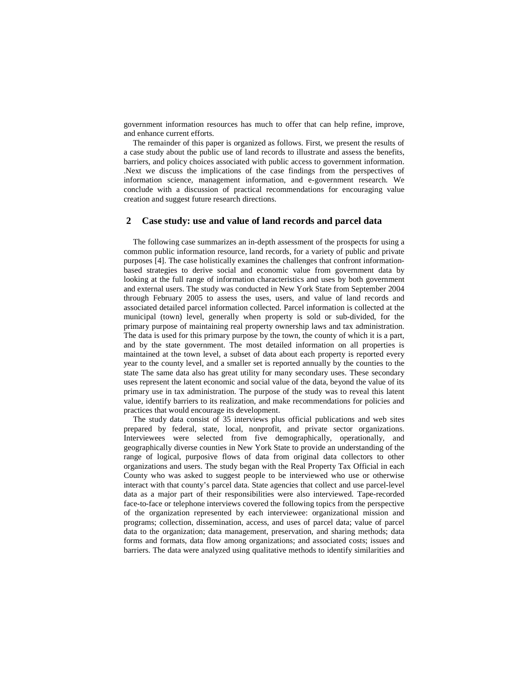government information resources has much to offer that can help refine, improve, and enhance current efforts.

The remainder of this paper is organized as follows. First, we present the results of a case study about the public use of land records to illustrate and assess the benefits, barriers, and policy choices associated with public access to government information. .Next we discuss the implications of the case findings from the perspectives of information science, management information, and e-government research. We conclude with a discussion of practical recommendations for encouraging value creation and suggest future research directions.

### **2 Case study: use and value of land records and parcel data**

The following case summarizes an in-depth assessment of the prospects for using a common public information resource, land records, for a variety of public and private purposes [4]. The case holistically examines the challenges that confront informationbased strategies to derive social and economic value from government data by looking at the full range of information characteristics and uses by both government and external users. The study was conducted in New York State from September 2004 through February 2005 to assess the uses, users, and value of land records and associated detailed parcel information collected. Parcel information is collected at the municipal (town) level, generally when property is sold or sub-divided, for the primary purpose of maintaining real property ownership laws and tax administration. The data is used for this primary purpose by the town, the county of which it is a part, and by the state government. The most detailed information on all properties is maintained at the town level, a subset of data about each property is reported every year to the county level, and a smaller set is reported annually by the counties to the state The same data also has great utility for many secondary uses. These secondary uses represent the latent economic and social value of the data, beyond the value of its primary use in tax administration. The purpose of the study was to reveal this latent value, identify barriers to its realization, and make recommendations for policies and practices that would encourage its development.

The study data consist of 35 interviews plus official publications and web sites prepared by federal, state, local, nonprofit, and private sector organizations. Interviewees were selected from five demographically, operationally, and geographically diverse counties in New York State to provide an understanding of the range of logical, purposive flows of data from original data collectors to other organizations and users. The study began with the Real Property Tax Official in each County who was asked to suggest people to be interviewed who use or otherwise interact with that county's parcel data. State agencies that collect and use parcel-level data as a major part of their responsibilities were also interviewed. Tape-recorded face-to-face or telephone interviews covered the following topics from the perspective of the organization represented by each interviewee: organizational mission and programs; collection, dissemination, access, and uses of parcel data; value of parcel data to the organization; data management, preservation, and sharing methods; data forms and formats, data flow among organizations; and associated costs; issues and barriers. The data were analyzed using qualitative methods to identify similarities and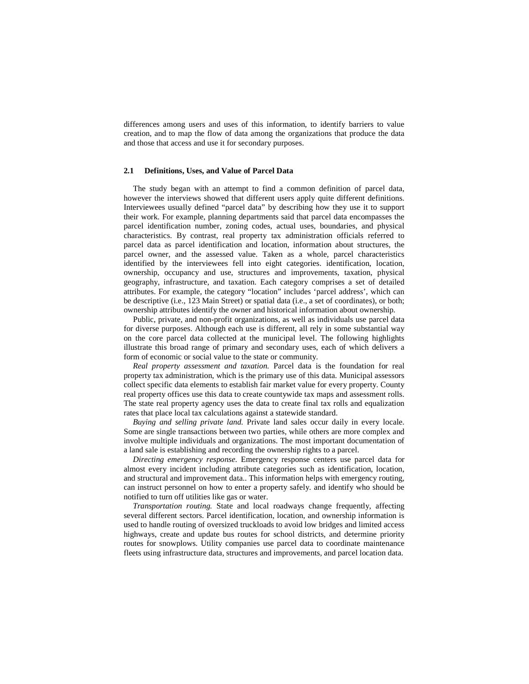differences among users and uses of this information, to identify barriers to value creation, and to map the flow of data among the organizations that produce the data and those that access and use it for secondary purposes.

## **2.1 Definitions, Uses, and Value of Parcel Data**

The study began with an attempt to find a common definition of parcel data, however the interviews showed that different users apply quite different definitions. Interviewees usually defined "parcel data" by describing how they use it to support their work. For example, planning departments said that parcel data encompasses the parcel identification number, zoning codes, actual uses, boundaries, and physical characteristics. By contrast, real property tax administration officials referred to parcel data as parcel identification and location, information about structures, the parcel owner, and the assessed value. Taken as a whole, parcel characteristics identified by the interviewees fell into eight categories. identification, location, ownership, occupancy and use, structures and improvements, taxation, physical geography, infrastructure, and taxation. Each category comprises a set of detailed attributes. For example, the category "location" includes 'parcel address', which can be descriptive (i.e., 123 Main Street) or spatial data (i.e., a set of coordinates), or both; ownership attributes identify the owner and historical information about ownership.

Public, private, and non-profit organizations, as well as individuals use parcel data for diverse purposes. Although each use is different, all rely in some substantial way on the core parcel data collected at the municipal level. The following highlights illustrate this broad range of primary and secondary uses, each of which delivers a form of economic or social value to the state or community.

*Real property assessment and taxation.* Parcel data is the foundation for real property tax administration, which is the primary use of this data. Municipal assessors collect specific data elements to establish fair market value for every property. County real property offices use this data to create countywide tax maps and assessment rolls. The state real property agency uses the data to create final tax rolls and equalization rates that place local tax calculations against a statewide standard.

*Buying and selling private land.* Private land sales occur daily in every locale. Some are single transactions between two parties, while others are more complex and involve multiple individuals and organizations. The most important documentation of a land sale is establishing and recording the ownership rights to a parcel.

*Directing emergency response.* Emergency response centers use parcel data for almost every incident including attribute categories such as identification, location, and structural and improvement data.. This information helps with emergency routing, can instruct personnel on how to enter a property safely. and identify who should be notified to turn off utilities like gas or water.

*Transportation routing.* State and local roadways change frequently, affecting several different sectors. Parcel identification, location, and ownership information is used to handle routing of oversized truckloads to avoid low bridges and limited access highways, create and update bus routes for school districts, and determine priority routes for snowplows. Utility companies use parcel data to coordinate maintenance fleets using infrastructure data, structures and improvements, and parcel location data.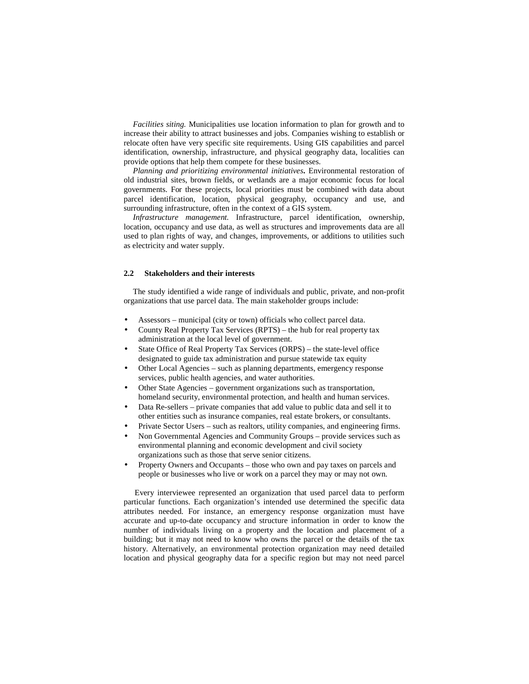*Facilities siting.* Municipalities use location information to plan for growth and to increase their ability to attract businesses and jobs. Companies wishing to establish or relocate often have very specific site requirements. Using GIS capabilities and parcel identification, ownership, infrastructure, and physical geography data, localities can provide options that help them compete for these businesses.

*Planning and prioritizing environmental initiatives***.** Environmental restoration of old industrial sites, brown fields, or wetlands are a major economic focus for local governments. For these projects, local priorities must be combined with data about parcel identification, location, physical geography, occupancy and use, and surrounding infrastructure, often in the context of a GIS system.

*Infrastructure management.* Infrastructure, parcel identification, ownership, location, occupancy and use data, as well as structures and improvements data are all used to plan rights of way, and changes, improvements, or additions to utilities such as electricity and water supply.

#### **2.2 Stakeholders and their interests**

The study identified a wide range of individuals and public, private, and non-profit organizations that use parcel data. The main stakeholder groups include:

- Assessors municipal (city or town) officials who collect parcel data.
- County Real Property Tax Services (RPTS) the hub for real property tax administration at the local level of government.
- State Office of Real Property Tax Services (ORPS) the state-level office designated to guide tax administration and pursue statewide tax equity
- Other Local Agencies such as planning departments, emergency response services, public health agencies, and water authorities.
- Other State Agencies government organizations such as transportation, homeland security, environmental protection, and health and human services.
- Data Re-sellers private companies that add value to public data and sell it to other entities such as insurance companies, real estate brokers, or consultants.
- Private Sector Users such as realtors, utility companies, and engineering firms.
- Non Governmental Agencies and Community Groups provide services such as environmental planning and economic development and civil society organizations such as those that serve senior citizens.
- Property Owners and Occupants those who own and pay taxes on parcels and people or businesses who live or work on a parcel they may or may not own.

Every interviewee represented an organization that used parcel data to perform particular functions. Each organization's intended use determined the specific data attributes needed. For instance, an emergency response organization must have accurate and up-to-date occupancy and structure information in order to know the number of individuals living on a property and the location and placement of a building; but it may not need to know who owns the parcel or the details of the tax history. Alternatively, an environmental protection organization may need detailed location and physical geography data for a specific region but may not need parcel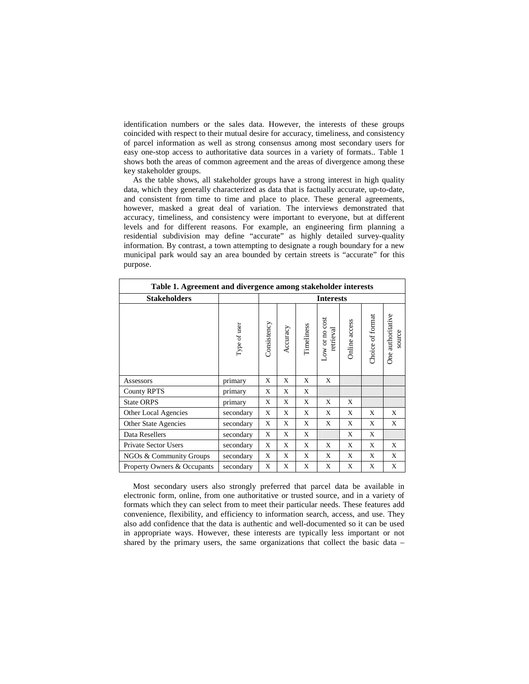identification numbers or the sales data. However, the interests of these groups coincided with respect to their mutual desire for accuracy, timeliness, and consistency of parcel information as well as strong consensus among most secondary users for easy one-stop access to authoritative data sources in a variety of formats.. Table 1 shows both the areas of common agreement and the areas of divergence among these key stakeholder groups.

As the table shows, all stakeholder groups have a strong interest in high quality data, which they generally characterized as data that is factually accurate, up-to-date, and consistent from time to time and place to place. These general agreements, however, masked a great deal of variation. The interviews demonstrated that accuracy, timeliness, and consistency were important to everyone, but at different levels and for different reasons. For example, an engineering firm planning a residential subdivision may define "accurate" as highly detailed survey-quality information. By contrast, a town attempting to designate a rough boundary for a new municipal park would say an area bounded by certain streets is "accurate" for this purpose.

| Table 1. Agreement and divergence among stakeholder interests |              |                  |          |            |                             |               |                  |                                |
|---------------------------------------------------------------|--------------|------------------|----------|------------|-----------------------------|---------------|------------------|--------------------------------|
| Stakeholders                                                  |              | <b>Interests</b> |          |            |                             |               |                  |                                |
|                                                               | Type of user | Consistency      | Accuracy | Timeliness | Low or no cost<br>retrieval | Online access | Choice of format | authoritative<br>source<br>One |
| Assessors                                                     | primary      | X                | X        | X          | X                           |               |                  |                                |
| <b>County RPTS</b>                                            | primary      | X                | X        | X          |                             |               |                  |                                |
| <b>State ORPS</b>                                             | primary      | X                | X        | X          | X                           | X             |                  |                                |
| Other Local Agencies                                          | secondary    | X                | X        | X          | X                           | X             | X                | X                              |
| Other State Agencies                                          | secondary    | X                | X        | X          | X                           | X             | X                | X                              |
| Data Resellers                                                | secondary    | X                | X        | X          |                             | X             | X                |                                |
| <b>Private Sector Users</b>                                   | secondary    | X                | X        | X          | X                           | X             | X                | X                              |
| NGOs & Community Groups                                       | secondary    | X                | X        | X          | X                           | X             | X                | X                              |
| Property Owners & Occupants                                   | secondary    | X                | X        | X          | X                           | X             | X                | X                              |

Most secondary users also strongly preferred that parcel data be available in electronic form, online, from one authoritative or trusted source, and in a variety of formats which they can select from to meet their particular needs. These features add convenience, flexibility, and efficiency to information search, access, and use. They also add confidence that the data is authentic and well-documented so it can be used in appropriate ways. However, these interests are typically less important or not shared by the primary users, the same organizations that collect the basic data –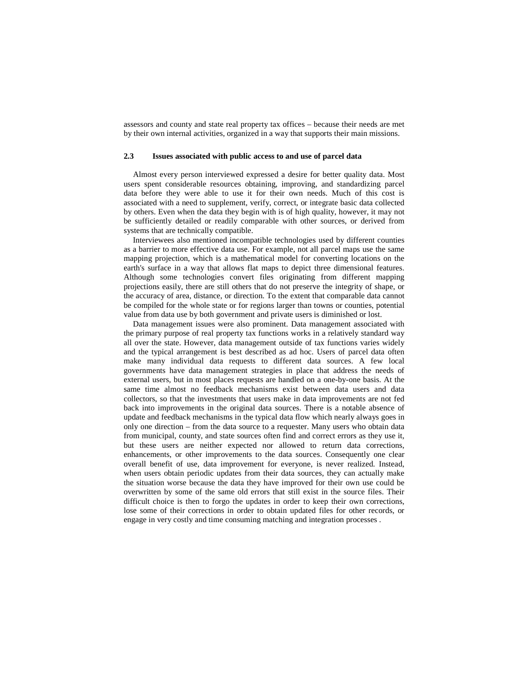assessors and county and state real property tax offices – because their needs are met by their own internal activities, organized in a way that supports their main missions.

## **2.3 Issues associated with public access to and use of parcel data**

Almost every person interviewed expressed a desire for better quality data. Most users spent considerable resources obtaining, improving, and standardizing parcel data before they were able to use it for their own needs. Much of this cost is associated with a need to supplement, verify, correct, or integrate basic data collected by others. Even when the data they begin with is of high quality, however, it may not be sufficiently detailed or readily comparable with other sources, or derived from systems that are technically compatible.

Interviewees also mentioned incompatible technologies used by different counties as a barrier to more effective data use. For example, not all parcel maps use the same mapping projection, which is a mathematical model for converting locations on the earth's surface in a way that allows flat maps to depict three dimensional features. Although some technologies convert files originating from different mapping projections easily, there are still others that do not preserve the integrity of shape, or the accuracy of area, distance, or direction. To the extent that comparable data cannot be compiled for the whole state or for regions larger than towns or counties, potential value from data use by both government and private users is diminished or lost.

Data management issues were also prominent. Data management associated with the primary purpose of real property tax functions works in a relatively standard way all over the state. However, data management outside of tax functions varies widely and the typical arrangement is best described as ad hoc. Users of parcel data often make many individual data requests to different data sources. A few local governments have data management strategies in place that address the needs of external users, but in most places requests are handled on a one-by-one basis. At the same time almost no feedback mechanisms exist between data users and data collectors, so that the investments that users make in data improvements are not fed back into improvements in the original data sources. There is a notable absence of update and feedback mechanisms in the typical data flow which nearly always goes in only one direction – from the data source to a requester. Many users who obtain data from municipal, county, and state sources often find and correct errors as they use it, but these users are neither expected nor allowed to return data corrections, enhancements, or other improvements to the data sources. Consequently one clear overall benefit of use, data improvement for everyone, is never realized. Instead, when users obtain periodic updates from their data sources, they can actually make the situation worse because the data they have improved for their own use could be overwritten by some of the same old errors that still exist in the source files. Their difficult choice is then to forgo the updates in order to keep their own corrections, lose some of their corrections in order to obtain updated files for other records, or engage in very costly and time consuming matching and integration processes .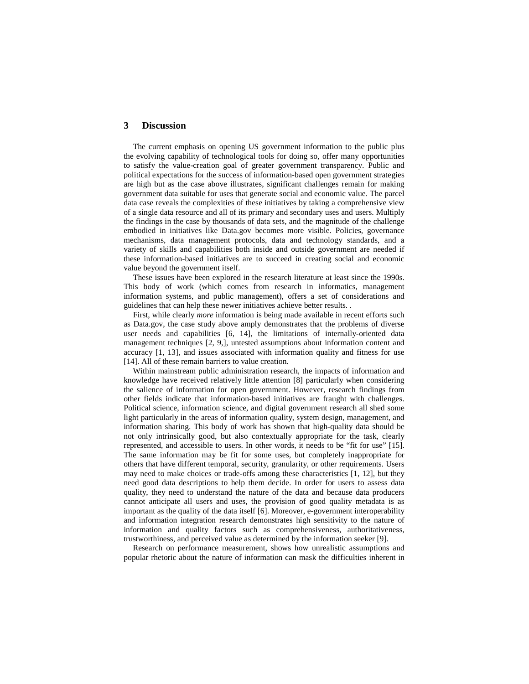## **3 Discussion**

The current emphasis on opening US government information to the public plus the evolving capability of technological tools for doing so, offer many opportunities to satisfy the value-creation goal of greater government transparency. Public and political expectations for the success of information-based open government strategies are high but as the case above illustrates, significant challenges remain for making government data suitable for uses that generate social and economic value. The parcel data case reveals the complexities of these initiatives by taking a comprehensive view of a single data resource and all of its primary and secondary uses and users. Multiply the findings in the case by thousands of data sets, and the magnitude of the challenge embodied in initiatives like Data.gov becomes more visible. Policies, governance mechanisms, data management protocols, data and technology standards, and a variety of skills and capabilities both inside and outside government are needed if these information-based initiatives are to succeed in creating social and economic value beyond the government itself.

These issues have been explored in the research literature at least since the 1990s. This body of work (which comes from research in informatics, management information systems, and public management), offers a set of considerations and guidelines that can help these newer initiatives achieve better results. .

First, while clearly *more* information is being made available in recent efforts such as Data.gov, the case study above amply demonstrates that the problems of diverse user needs and capabilities [6, 14], the limitations of internally-oriented data management techniques [2, 9,], untested assumptions about information content and accuracy [1, 13], and issues associated with information quality and fitness for use [14]. All of these remain barriers to value creation.

Within mainstream public administration research, the impacts of information and knowledge have received relatively little attention [8] particularly when considering the salience of information for open government. However, research findings from other fields indicate that information-based initiatives are fraught with challenges. Political science, information science, and digital government research all shed some light particularly in the areas of information quality, system design, management, and information sharing. This body of work has shown that high-quality data should be not only intrinsically good, but also contextually appropriate for the task, clearly represented, and accessible to users. In other words, it needs to be "fit for use" [15]. The same information may be fit for some uses, but completely inappropriate for others that have different temporal, security, granularity, or other requirements. Users may need to make choices or trade-offs among these characteristics [1, 12], but they need good data descriptions to help them decide. In order for users to assess data quality, they need to understand the nature of the data and because data producers cannot anticipate all users and uses, the provision of good quality metadata is as important as the quality of the data itself [6]. Moreover, e-government interoperability and information integration research demonstrates high sensitivity to the nature of information and quality factors such as comprehensiveness, authoritativeness, trustworthiness, and perceived value as determined by the information seeker [9].

Research on performance measurement, shows how unrealistic assumptions and popular rhetoric about the nature of information can mask the difficulties inherent in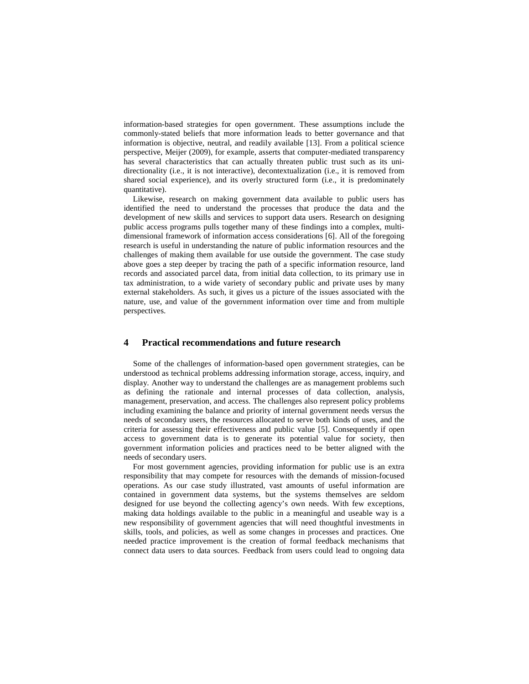information-based strategies for open government. These assumptions include the commonly-stated beliefs that more information leads to better governance and that information is objective, neutral, and readily available [13]. From a political science perspective, Meijer (2009), for example, asserts that computer-mediated transparency has several characteristics that can actually threaten public trust such as its unidirectionality (i.e., it is not interactive), decontextualization (i.e., it is removed from shared social experience), and its overly structured form (i.e., it is predominately quantitative).

Likewise, research on making government data available to public users has identified the need to understand the processes that produce the data and the development of new skills and services to support data users. Research on designing public access programs pulls together many of these findings into a complex, multidimensional framework of information access considerations [6]. All of the foregoing research is useful in understanding the nature of public information resources and the challenges of making them available for use outside the government. The case study above goes a step deeper by tracing the path of a specific information resource, land records and associated parcel data, from initial data collection, to its primary use in tax administration, to a wide variety of secondary public and private uses by many external stakeholders. As such, it gives us a picture of the issues associated with the nature, use, and value of the government information over time and from multiple perspectives.

## **4 Practical recommendations and future research**

Some of the challenges of information-based open government strategies, can be understood as technical problems addressing information storage, access, inquiry, and display. Another way to understand the challenges are as management problems such as defining the rationale and internal processes of data collection, analysis, management, preservation, and access. The challenges also represent policy problems including examining the balance and priority of internal government needs versus the needs of secondary users, the resources allocated to serve both kinds of uses, and the criteria for assessing their effectiveness and public value [5]. Consequently if open access to government data is to generate its potential value for society, then government information policies and practices need to be better aligned with the needs of secondary users.

For most government agencies, providing information for public use is an extra responsibility that may compete for resources with the demands of mission-focused operations. As our case study illustrated, vast amounts of useful information are contained in government data systems, but the systems themselves are seldom designed for use beyond the collecting agency's own needs. With few exceptions, making data holdings available to the public in a meaningful and useable way is a new responsibility of government agencies that will need thoughtful investments in skills, tools, and policies, as well as some changes in processes and practices. One needed practice improvement is the creation of formal feedback mechanisms that connect data users to data sources. Feedback from users could lead to ongoing data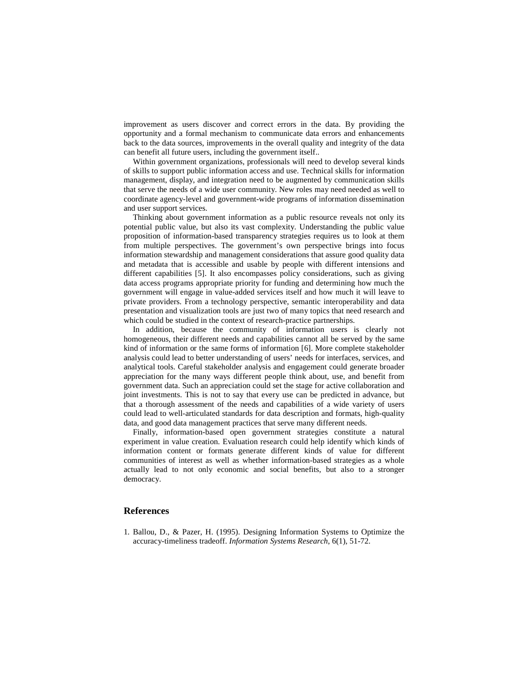improvement as users discover and correct errors in the data. By providing the opportunity and a formal mechanism to communicate data errors and enhancements back to the data sources, improvements in the overall quality and integrity of the data can benefit all future users, including the government itself..

Within government organizations, professionals will need to develop several kinds of skills to support public information access and use. Technical skills for information management, display, and integration need to be augmented by communication skills that serve the needs of a wide user community. New roles may need needed as well to coordinate agency-level and government-wide programs of information dissemination and user support services.

Thinking about government information as a public resource reveals not only its potential public value, but also its vast complexity. Understanding the public value proposition of information-based transparency strategies requires us to look at them from multiple perspectives. The government's own perspective brings into focus information stewardship and management considerations that assure good quality data and metadata that is accessible and usable by people with different intensions and different capabilities [5]. It also encompasses policy considerations, such as giving data access programs appropriate priority for funding and determining how much the government will engage in value-added services itself and how much it will leave to private providers. From a technology perspective, semantic interoperability and data presentation and visualization tools are just two of many topics that need research and which could be studied in the context of research-practice partnerships.

In addition, because the community of information users is clearly not homogeneous, their different needs and capabilities cannot all be served by the same kind of information or the same forms of information [6]. More complete stakeholder analysis could lead to better understanding of users' needs for interfaces, services, and analytical tools. Careful stakeholder analysis and engagement could generate broader appreciation for the many ways different people think about, use, and benefit from government data. Such an appreciation could set the stage for active collaboration and joint investments. This is not to say that every use can be predicted in advance, but that a thorough assessment of the needs and capabilities of a wide variety of users could lead to well-articulated standards for data description and formats, high-quality data, and good data management practices that serve many different needs.

Finally, information-based open government strategies constitute a natural experiment in value creation. Evaluation research could help identify which kinds of information content or formats generate different kinds of value for different communities of interest as well as whether information-based strategies as a whole actually lead to not only economic and social benefits, but also to a stronger democracy.

## **References**

1. Ballou, D., & Pazer, H. (1995). Designing Information Systems to Optimize the accuracy-timeliness tradeoff. *Information Systems Research*, 6(1), 51-72.